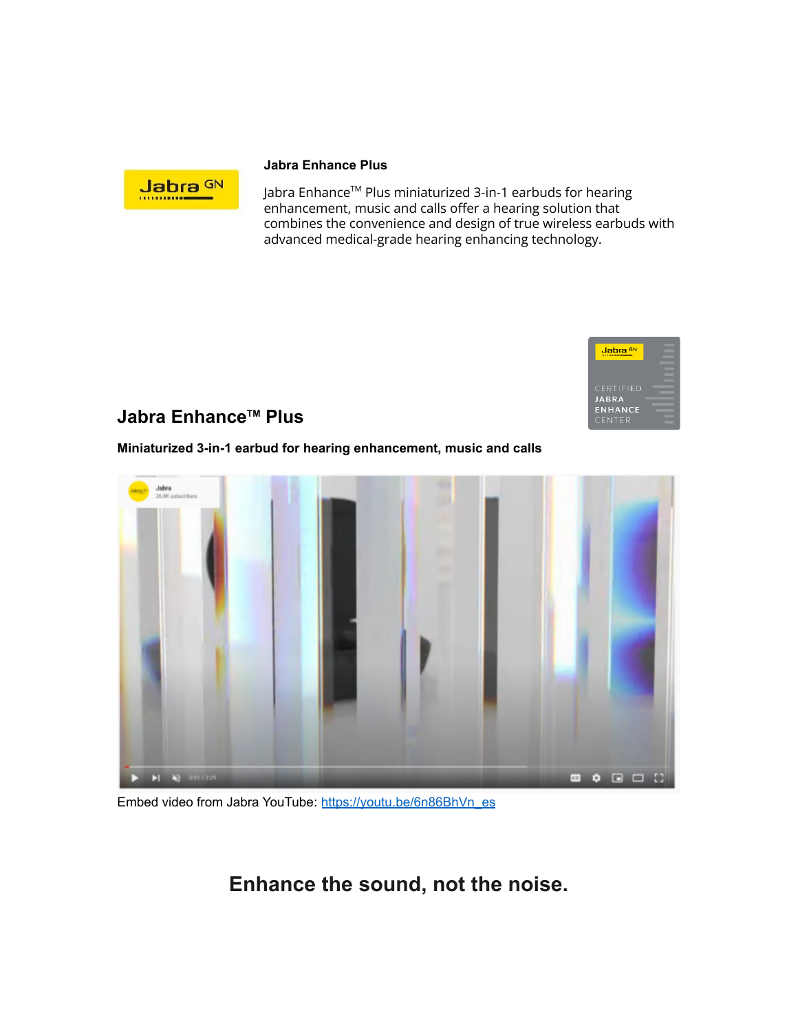

#### **Jabra Enhance Plus**

Jabra Enhance™ Plus miniaturized 3-in-1 earbuds for hearing enhancement, music and calls offer a hearing solution that combines the convenience and design of true wireless earbuds with advanced medical-grade hearing enhancing technology.



#### **Jabra Enhance TM Plus**

**Miniaturized 3-in-1 earbud for hearing enhancement, music and calls**



Embed video from Jabra YouTube: [https://youtu.be/6n86BhVn\\_es](https://youtu.be/6n86BhVn_es)

**Enhance the sound, not the noise.**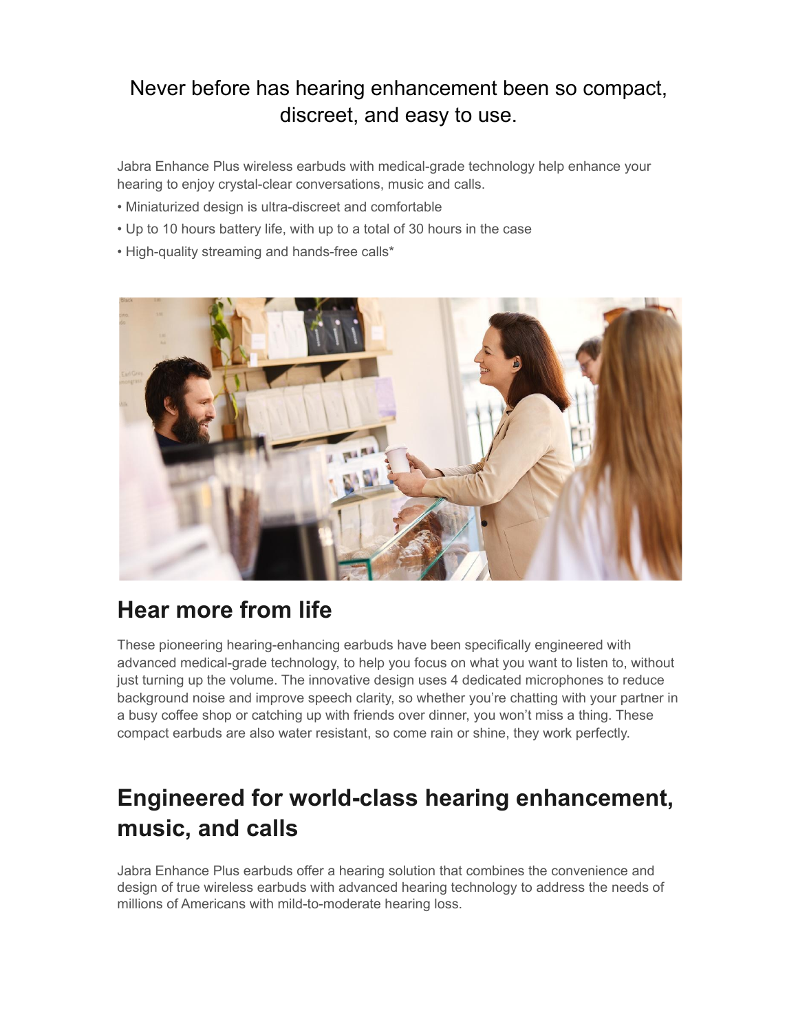### Never before has hearing enhancement been so compact, discreet, and easy to use.

Jabra Enhance Plus wireless earbuds with medical-grade technology help enhance your hearing to enjoy crystal-clear conversations, music and calls.

- Miniaturized design is ultra-discreet and comfortable
- Up to 10 hours battery life, with up to a total of 30 hours in the case
- High-quality streaming and hands-free calls\*



## **Hear more from life**

These pioneering hearing-enhancing earbuds have been specifically engineered with advanced medical-grade technology, to help you focus on what you want to listen to, without just turning up the volume. The innovative design uses 4 dedicated microphones to reduce background noise and improve speech clarity, so whether you're chatting with your partner in a busy coffee shop or catching up with friends over dinner, you won't miss a thing. These compact earbuds are also water resistant, so come rain or shine, they work perfectly.

# **Engineered for world-class hearing enhancement, music, and calls**

Jabra Enhance Plus earbuds offer a hearing solution that combines the convenience and design of true wireless earbuds with advanced hearing technology to address the needs of millions of Americans with mild-to-moderate hearing loss.